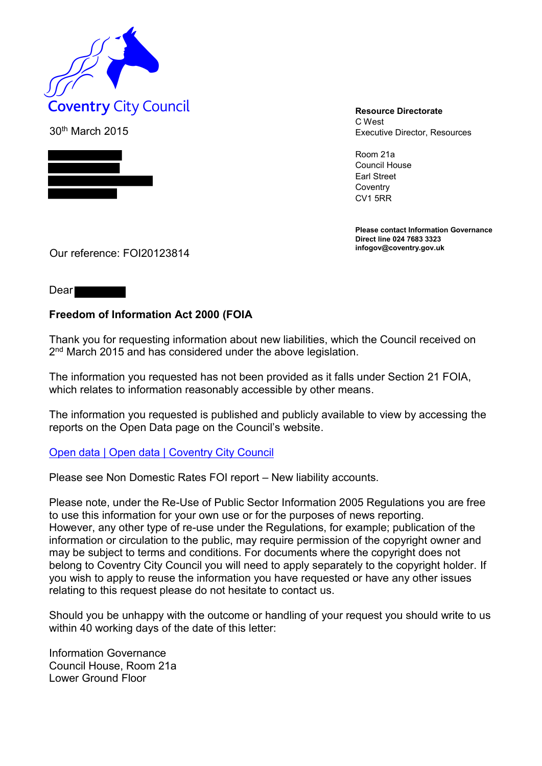

30th March 2015



C West Executive Director, Resources

Room 21a Council House Earl Street **Coventry** CV1 5RR

**Please contact Information Governance Direct line 024 7683 3323**

Our reference: FOI20123814

Dear

## **Freedom of Information Act 2000 (FOIA**

Thank you for requesting information about new liabilities, which the Council received on 2 nd March 2015 and has considered under the above legislation.

The information you requested has not been provided as it falls under Section 21 FOIA, which relates to information reasonably accessible by other means.

The information you requested is published and publicly available to view by accessing the reports on the Open Data page on the Council's website.

## [Open data | Open data | Coventry City Council](http://www.coventry.gov.uk/info/145/websites_and_social_media/650/open_data)

Please see Non Domestic Rates FOI report – New liability accounts.

Please note, under the Re-Use of Public Sector Information 2005 Regulations you are free to use this information for your own use or for the purposes of news reporting. However, any other type of re-use under the Regulations, for example; publication of the information or circulation to the public, may require permission of the copyright owner and may be subject to terms and conditions. For documents where the copyright does not belong to Coventry City Council you will need to apply separately to the copyright holder. If you wish to apply to reuse the information you have requested or have any other issues relating to this request please do not hesitate to contact us.

Should you be unhappy with the outcome or handling of your request you should write to us within 40 working days of the date of this letter:

Information Governance Council House, Room 21a Lower Ground Floor